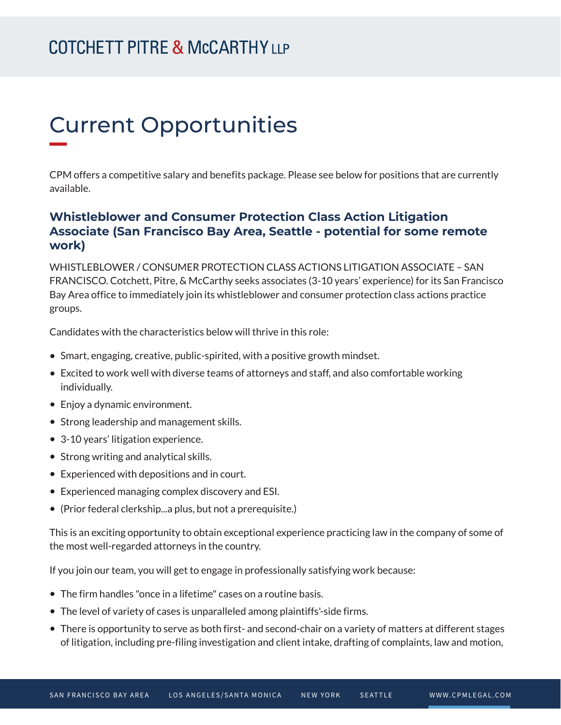# Current Opportunities

CPM offers a competitive salary and benefits package. Please see below for positions that are currently available.

### **Whistleblower and Consumer Protection Class Action Litigation Associate (San Francisco Bay Area, Seattle - potential for some remote work)**

WHISTLEBLOWER / CONSUMER PROTECTION CLASS ACTIONS LITIGATION ASSOCIATE – SAN FRANCISCO. Cotchett, Pitre, & McCarthy seeks associates (3-10 years' experience) for its San Francisco Bay Area office to immediately join its whistleblower and consumer protection class actions practice groups.

Candidates with the characteristics below will thrive in this role:

- Smart, engaging, creative, public-spirited, with a positive growth mindset.
- Excited to work well with diverse teams of attorneys and staff, and also comfortable working individually.
- Enjoy a dynamic environment.
- Strong leadership and management skills.
- 3-10 years' litigation experience.
- Strong writing and analytical skills.
- Experienced with depositions and in court.
- Experienced managing complex discovery and ESI.
- (Prior federal clerkship...a plus, but not a prerequisite.)

This is an exciting opportunity to obtain exceptional experience practicing law in the company of some of the most well-regarded attorneys in the country.

If you join our team, you will get to engage in professionally satisfying work because:

- The firm handles "once in a lifetime" cases on a routine basis.
- The level of variety of cases is unparalleled among plaintiffs'-side firms.
- There is opportunity to serve as both first- and second-chair on a variety of matters at different stages of litigation, including pre-filing investigation and client intake, drafting of complaints, law and motion,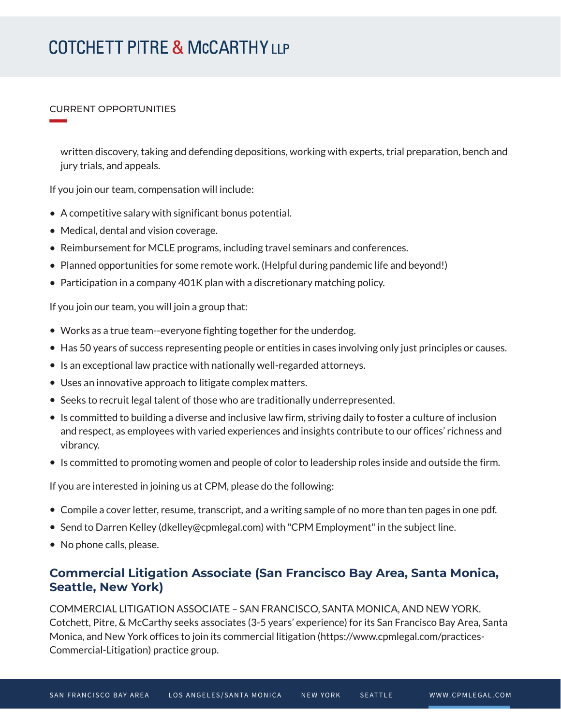#### CURRENT OPPORTUNITIES

**William Company** 

written discovery, taking and defending depositions, working with experts, trial preparation, bench and jury trials, and appeals.

If you join our team, compensation will include:

- A competitive salary with significant bonus potential.
- Medical, dental and vision coverage.
- Reimbursement for MCLE programs, including travel seminars and conferences.
- Planned opportunities for some remote work. (Helpful during pandemic life and beyond!)
- $\bullet$  Participation in a company 401K plan with a discretionary matching policy.

If you join our team, you will join a group that:

- Works as a true team--everyone fighting together for the underdog.
- Has 50 years of success representing people or entities in cases involving only just principles or causes.
- Is an exceptional law practice with nationally well-regarded attorneys.
- Uses an innovative approach to litigate complex matters.
- Seeks to recruit legal talent of those who are traditionally underrepresented.
- Is committed to building a diverse and inclusive law firm, striving daily to foster a culture of inclusion and respect, as employees with varied experiences and insights contribute to our offices' richness and vibrancy.
- Is committed to promoting women and people of color to leadership roles inside and outside the firm.

If you are interested in joining us at CPM, please do the following:

- Compile a cover letter, resume, transcript, and a writing sample of no more than ten pages in one pdf.
- Send to Darren Kelley (dkelley@cpmlegal.com) with "CPM Employment" in the subject line.
- No phone calls, please.

### **Commercial Litigation Associate (San Francisco Bay Area, Santa Monica, Seattle, New York)**

COMMERCIAL LITIGATION ASSOCIATE – SAN FRANCISCO, SANTA MONICA, AND NEW YORK. Cotchett, Pitre, & McCarthy seeks associates (3-5 years' experience) for its San Francisco Bay Area, Santa Monica, and New York offices to join its commercial litigation (https://www.cpmlegal.com/practices-Commercial-Litigation) practice group.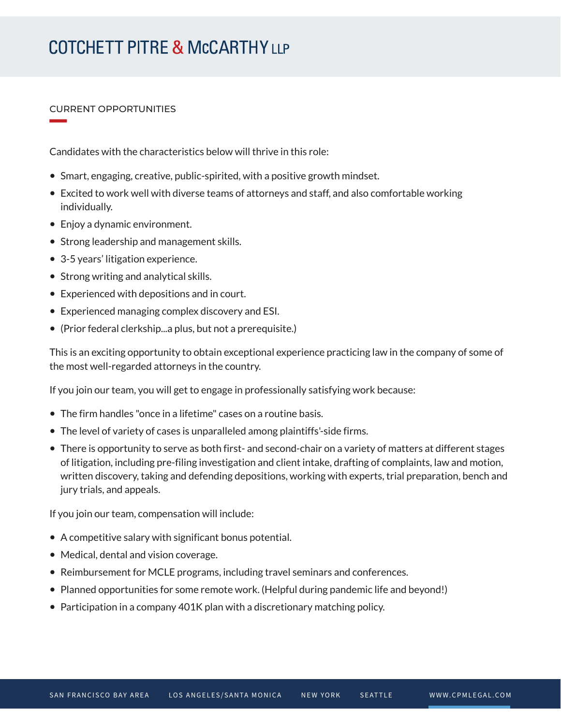#### CURRENT OPPORTUNITIES

**William Company** 

Candidates with the characteristics below will thrive in this role:

- Smart, engaging, creative, public-spirited, with a positive growth mindset.
- Excited to work well with diverse teams of attorneys and staff, and also comfortable working individually.
- Enjoy a dynamic environment.
- Strong leadership and management skills.
- 3-5 years' litigation experience.
- Strong writing and analytical skills.
- Experienced with depositions and in court.
- Experienced managing complex discovery and ESI.
- (Prior federal clerkship...a plus, but not a prerequisite.)

This is an exciting opportunity to obtain exceptional experience practicing law in the company of some of the most well-regarded attorneys in the country.

If you join our team, you will get to engage in professionally satisfying work because:

- The firm handles "once in a lifetime" cases on a routine basis.
- The level of variety of cases is unparalleled among plaintiffs'-side firms.
- There is opportunity to serve as both first- and second-chair on a variety of matters at different stages of litigation, including pre-filing investigation and client intake, drafting of complaints, law and motion, written discovery, taking and defending depositions, working with experts, trial preparation, bench and jury trials, and appeals.

If you join our team, compensation will include:

- A competitive salary with significant bonus potential.
- Medical, dental and vision coverage.
- Reimbursement for MCLE programs, including travel seminars and conferences.
- Planned opportunities for some remote work. (Helpful during pandemic life and beyond!)
- Participation in a company 401K plan with a discretionary matching policy.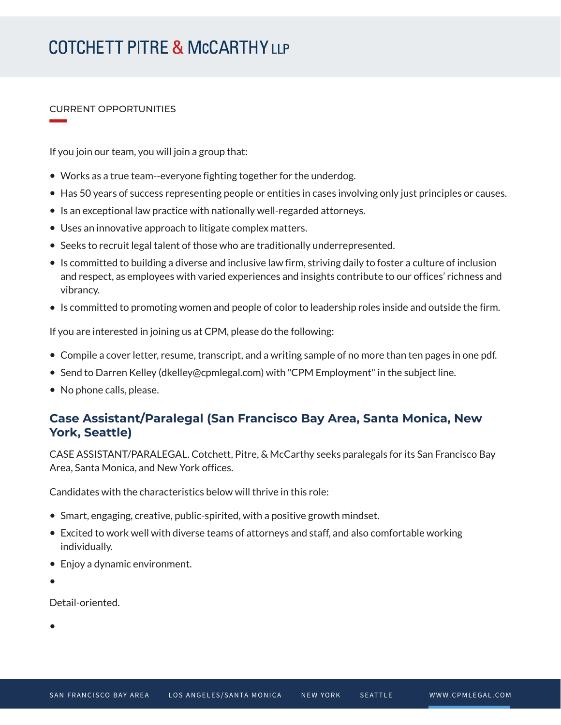#### CURRENT OPPORTUNITIES

**William Company** 

If you join our team, you will join a group that:

- Works as a true team--everyone fighting together for the underdog.
- Has 50 years of success representing people or entities in cases involving only just principles or causes.
- Is an exceptional law practice with nationally well-regarded attorneys.
- Uses an innovative approach to litigate complex matters.
- Seeks to recruit legal talent of those who are traditionally underrepresented.
- Is committed to building a diverse and inclusive law firm, striving daily to foster a culture of inclusion and respect, as employees with varied experiences and insights contribute to our offices' richness and vibrancy.
- Is committed to promoting women and people of color to leadership roles inside and outside the firm.

If you are interested in joining us at CPM, please do the following:

- Compile a cover letter, resume, transcript, and a writing sample of no more than ten pages in one pdf.
- Send to Darren Kelley (dkelley@cpmlegal.com) with "CPM Employment" in the subject line.
- No phone calls, please.

### **Case Assistant/Paralegal (San Francisco Bay Area, Santa Monica, New York, Seattle)**

CASE ASSISTANT/PARALEGAL. Cotchett, Pitre, & McCarthy seeks paralegals for its San Francisco Bay Area, Santa Monica, and New York offices.

Candidates with the characteristics below will thrive in this role:

- Smart, engaging, creative, public-spirited, with a positive growth mindset.
- Excited to work well with diverse teams of attorneys and staff, and also comfortable working individually.
- Enjoy a dynamic environment.
- ●

Detail-oriented.

●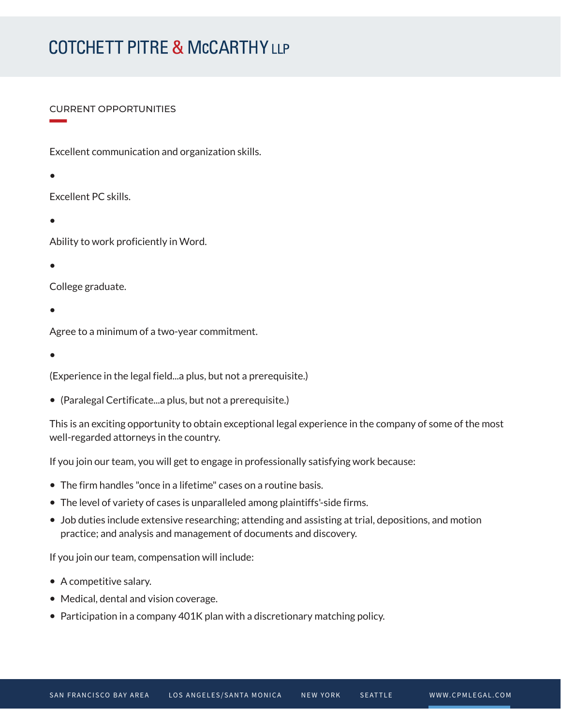#### CURRENT OPPORTUNITIES

Excellent communication and organization skills.

- Excellent PC skills.
- 。<br>一

●

**William Company** 

Ability to work proficiently in Word.

●

College graduate.

●

Agree to a minimum of a two-year commitment.

●

(Experience in the legal field...a plus, but not a prerequisite.)

● (Paralegal Certificate...a plus, but not a prerequisite.)

This is an exciting opportunity to obtain exceptional legal experience in the company of some of the most well-regarded attorneys in the country.

If you join our team, you will get to engage in professionally satisfying work because:

- The firm handles "once in a lifetime" cases on a routine basis.
- The level of variety of cases is unparalleled among plaintiffs'-side firms.
- Job duties include extensive researching; attending and assisting at trial, depositions, and motion practice; and analysis and management of documents and discovery.

If you join our team, compensation will include:

- A competitive salary.
- Medical, dental and vision coverage.
- Participation in a company 401K plan with a discretionary matching policy.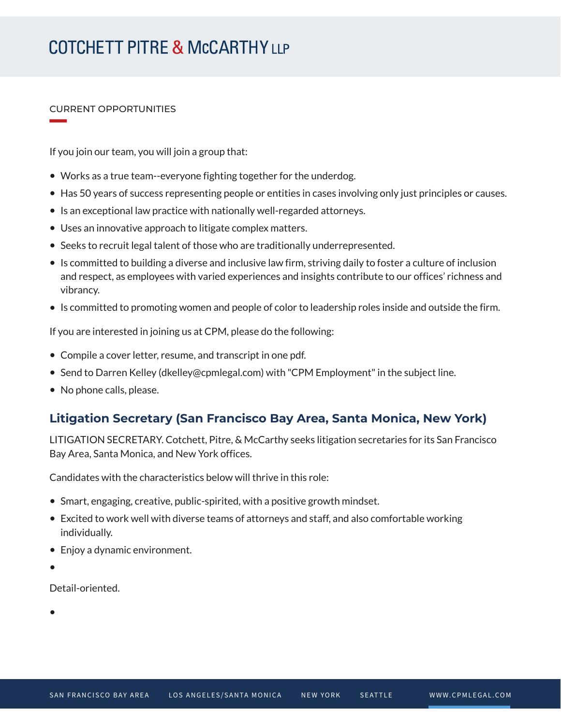#### CURRENT OPPORTUNITIES

**William Company** 

If you join our team, you will join a group that:

- Works as a true team--everyone fighting together for the underdog.
- Has 50 years of success representing people or entities in cases involving only just principles or causes.
- Is an exceptional law practice with nationally well-regarded attorneys.
- Uses an innovative approach to litigate complex matters.
- Seeks to recruit legal talent of those who are traditionally underrepresented.
- Is committed to building a diverse and inclusive law firm, striving daily to foster a culture of inclusion and respect, as employees with varied experiences and insights contribute to our offices' richness and vibrancy.
- Is committed to promoting women and people of color to leadership roles inside and outside the firm.

If you are interested in joining us at CPM, please do the following:

- Compile a cover letter, resume, and transcript in one pdf.
- Send to Darren Kelley (dkelley@cpmlegal.com) with "CPM Employment" in the subject line.
- No phone calls, please.

### **Litigation Secretary (San Francisco Bay Area, Santa Monica, New York)**

LITIGATION SECRETARY. Cotchett, Pitre, & McCarthy seeks litigation secretaries for its San Francisco Bay Area, Santa Monica, and New York offices.

Candidates with the characteristics below will thrive in this role:

- Smart, engaging, creative, public-spirited, with a positive growth mindset.
- Excited to work well with diverse teams of attorneys and staff, and also comfortable working individually.
- Enjoy a dynamic environment.
- ●

Detail-oriented.

●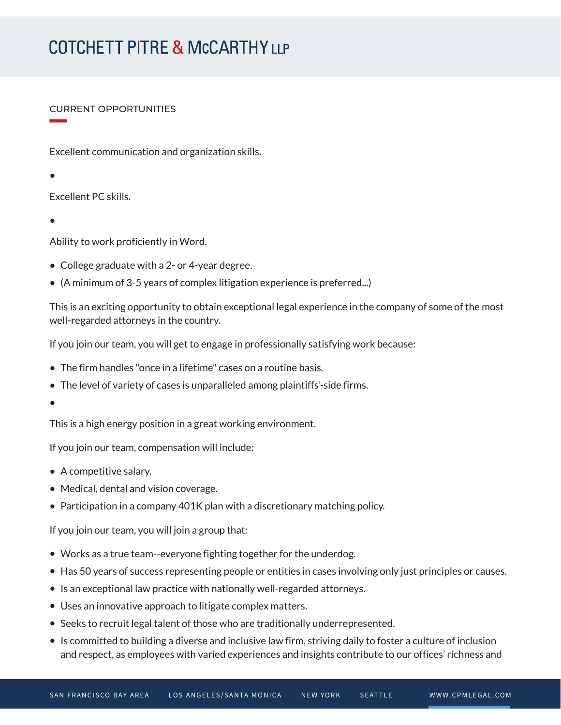#### CURRENT OPPORTUNITIES

Excellent communication and organization skills.

●

**William Company** 

Excellent PC skills.

●

Ability to work proficiently in Word.

- College graduate with a 2- or 4-year degree.
- (A minimum of 3-5 years of complex litigation experience is preferred...)

This is an exciting opportunity to obtain exceptional legal experience in the company of some of the most well-regarded attorneys in the country.

If you join our team, you will get to engage in professionally satisfying work because:

- The firm handles "once in a lifetime" cases on a routine basis.
- The level of variety of cases is unparalleled among plaintiffs'-side firms.
- ●

This is a high energy position in a great working environment.

If you join our team, compensation will include:

- A competitive salary.
- Medical, dental and vision coverage.
- Participation in a company 401K plan with a discretionary matching policy.

If you join our team, you will join a group that:

- Works as a true team--everyone fighting together for the underdog.
- Has 50 years of success representing people or entities in cases involving only just principles or causes.
- Is an exceptional law practice with nationally well-regarded attorneys.
- Uses an innovative approach to litigate complex matters.
- Seeks to recruit legal talent of those who are traditionally underrepresented.
- Is committed to building a diverse and inclusive law firm, striving daily to foster a culture of inclusion and respect, as employees with varied experiences and insights contribute to our offices' richness and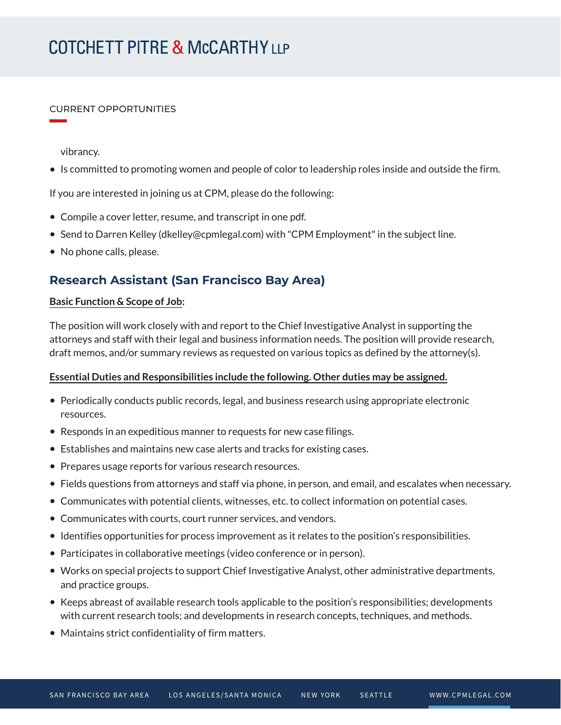#### CURRENT OPPORTUNITIES

vibrancy.

**William Company** 

● Is committed to promoting women and people of color to leadership roles inside and outside the firm.

If you are interested in joining us at CPM, please do the following:

- Compile a cover letter, resume, and transcript in one pdf.
- Send to Darren Kelley (dkelley@cpmlegal.com) with "CPM Employment" in the subject line.
- No phone calls, please.

### **Research Assistant (San Francisco Bay Area)**

#### **Basic Function & Scope of Job:**

The position will work closely with and report to the Chief Investigative Analyst in supporting the attorneys and staff with their legal and business information needs. The position will provide research, draft memos, and/or summary reviews as requested on various topics as defined by the attorney(s).

#### **Essential Duties and Responsibilities include the following. Other duties may be assigned.**

- Periodically conducts public records, legal, and business research using appropriate electronic resources.
- Responds in an expeditious manner to requests for new case filings.
- Establishes and maintains new case alerts and tracks for existing cases.
- Prepares usage reports for various research resources.
- Fields questions from attorneys and staff via phone, in person, and email, and escalates when necessary.
- Communicates with potential clients, witnesses, etc. to collect information on potential cases.
- Communicates with courts, court runner services, and vendors.
- Identifies opportunities for process improvement as it relates to the position's responsibilities.
- Participates in collaborative meetings (video conference or in person).
- Works on special projects to support Chief Investigative Analyst, other administrative departments, and practice groups.
- Keeps abreast of available research tools applicable to the position's responsibilities; developments with current research tools; and developments in research concepts, techniques, and methods.
- Maintains strict confidentiality of firm matters.